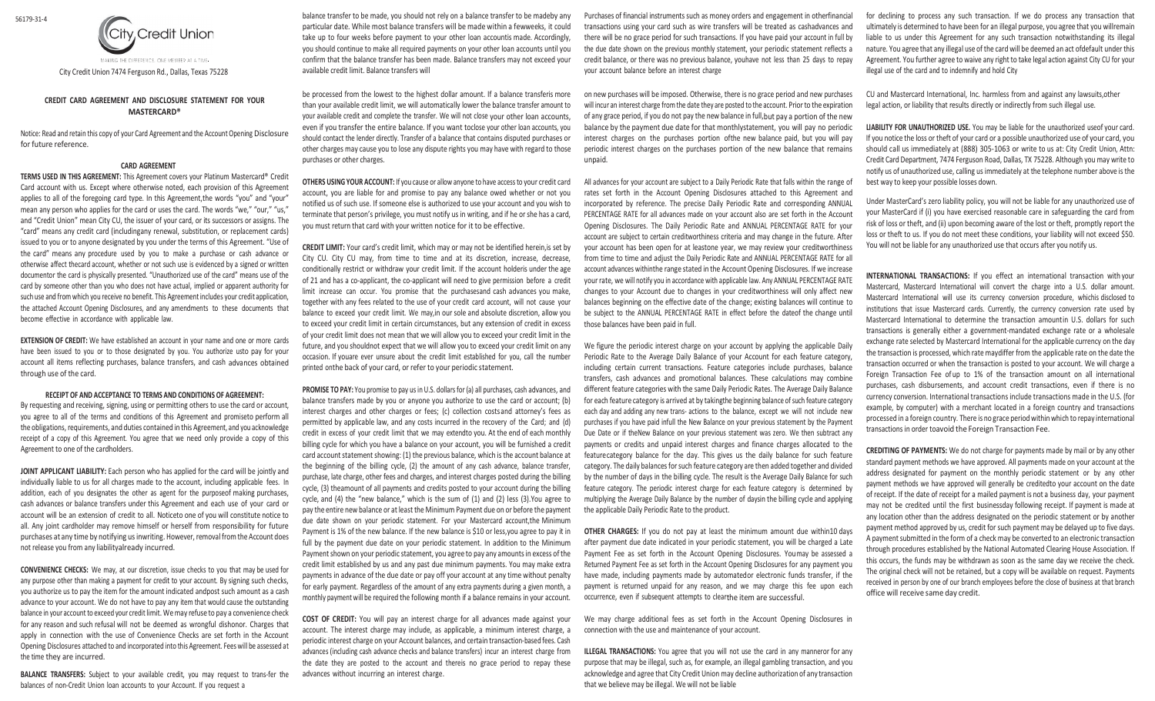

City Credit Union 7474 Ferguson Rd., Dallas, Texas 75228

## **CREDIT CARD AGREEMENT AND DISCLOSURE STATEMENT FOR YOUR MASTERCARD®**

Notice: Read and retain this copy of your Card Agreement and the Account Opening Disclosure for future reference.

## **CARD AGREEMENT**

**TERMS USED IN THIS AGREEMENT:** This Agreement covers your Platinum Mastercard® Credit Card account with us. Except where otherwise noted, each provision of this Agreement applies to all of the foregoing card type. In this Agreement,the words "you" and "your" mean any person who applies for the card or uses the card. The words "we," "our," "us," and "Credit Union" mean City CU, the issuer of your card, or its successors or assigns. The "card" means any credit card (includingany renewal, substitution, or replacement cards) issued to you or to anyone designated by you under the terms of this Agreement. "Use of the card" means any procedure used by you to make a purchase or cash advance or otherwise affect thecard account, whether or not such use is evidenced by a signed or written documentor the card is physically presented. "Unauthorized use of the card" means use of the card by someone other than you who does not have actual, implied or apparent authority for such use and from which you receive no benefit. This Agreement includes your credit application, the attached Account Opening Disclosures, and any amendments to these documents that become effective in accordance with applicable law.

**EXTENSION OF CREDIT:** We have established an account in your name and one or more cards have been issued to you or to those designated by you. You authorize usto pay for your account all items reflecting purchases, balance transfers, and cash advances obtained through use of the card.

## **RECEIPT OF AND ACCEPTANCE TO TERMS AND CONDITIONS OF AGREEMENT:**

By requesting and receiving, signing, using or permitting others to use the card or account, you agree to all of the terms and conditions of this Agreement and promiseto perform all the obligations, requirements, and duties contained in this Agreement, and you acknowledge receipt of a copy of this Agreement. You agree that we need only provide a copy of this Agreement to one of the cardholders.

**JOINT APPLICANT LIABILITY:** Each person who has applied for the card will be jointly and individually liable to us for all charges made to the account, including applicable fees. In addition, each of you designates the other as agent for the purposeof making purchases, cash advances or balance transfers under this Agreement and each use of your card or account will be an extension of credit to all. Noticeto one of you will constitute notice to all. Any joint cardholder may remove himself or herself from responsibility for future purchases at any time by notifying usinwriting. However, removal from the Account does not release you from any liabilityalready incurred.

**CONVENIENCE CHECKS:** We may, at our discretion, issue checks to you that may be used for any purpose other than making a payment for credit to your account. By signing such checks, you authorize us to pay the item for the amount indicated andpost such amount as a cash advance to your account. We do not have to pay any item that would cause the outstanding balance in your account to exceed your credit limit. We may refuse to pay a convenience check for any reason and such refusal will not be deemed as wrongful dishonor. Charges that apply in connection with the use of Convenience Checks are set forth in the Account Opening Disclosures attached to and incorporated into this Agreement. Fees will be assessed at the time they are incurred.

**BALANCE TRANSFERS:** Subject to your available credit, you may request to trans-fer the balances of non-Credit Union loan accounts to your Account. If you request a

balance transfer to be made, you should not rely on a balance transfer to be madeby any particular date. While most balance transfers will be made within a fewweeks, it could take up to four weeks before payment to your other loan accountis made. Accordingly, you should continue to make all required payments on your other loan accounts until you confirm that the balance transfer has been made. Balance transfers may not exceed your available credit limit. Balance transfers will

be processed from the lowest to the highest dollar amount. If a balance transferis more than your available credit limit, we will automatically lower the balance transfer amount to your available credit and complete the transfer. We will not close your other loan accounts, even if you transfer the entire balance. If you want toclose your other loan accounts, you should contact the lender directly. Transfer of a balance that contains disputed purchases or other charges may cause you to lose any dispute rights you may have with regard to those purchases or other charges.

**OTHERS USING YOUR ACCOUNT:** If you cause or allow anyone to have access to your credit card account, you are liable for and promise to pay any balance owed whether or not you notified us of such use. If someone else is authorized to use your account and you wish to terminate that person's privilege, you must notify us in writing, and if he or she has a card, you must return that card with your written notice for it to be effective.

**CREDIT LIMIT:** Your card's credit limit, which may or may not be identified herein,is set by City CU. City CU may, from time to time and at its discretion, increase, decrease, conditionally restrict or withdraw your credit limit. If the account holderis under the age of 21 and has a co-applicant, the co-applicant will need to give permission before a credit limit increase can occur. You promise that the purchasesand cash advances you make, together with any fees related to the use of your credit card account, will not cause your balance to exceed your credit limit. We may,in our sole and absolute discretion, allow you to exceed your credit limit in certain circumstances, but any extension of credit in excess of your credit limit does not mean that we will allow you to exceed your credit limit in the future, and you shouldnot expect that we will allow you to exceed your credit limit on any occasion. If youare ever unsure about the credit limit established for you, call the number printed onthe back of your card, or refer to your periodic statement.

**PROMISE TO PAY:** You promise to pay us in U.S. dollars for (a) all purchases, cash advances, and balance transfers made by you or anyone you authorize to use the card or account; (b) interest charges and other charges or fees; (c) collection costsand attorney's fees as permitted by applicable law, and any costs incurred in the recovery of the Card; and (d) credit in excess of your credit limit that we may extendto you. At the end of each monthly billing cycle for which you have a balance on your account, you will be furnished a credit card account statement showing: (1) the previous balance, which is the account balance at the beginning of the billing cycle, (2) the amount of any cash advance, balance transfer, purchase, late charge, other fees and charges, and interest charges posted during the billing cycle, (3) theamount of all payments and credits posted to your account during the billing cycle, and (4) the "new balance," which is the sum of (1) and (2) less (3).You agree to pay the entire new balance or at least the Minimum Payment due on or before the payment due date shown on your periodic statement. For your Mastercard account,the Minimum Payment is 1% of the new balance. If the new balance is \$10 or less,you agree to pay it in full by the payment due date on your periodic statement. In addition to the Minimum Payment shown on your periodic statement, you agree to pay any amounts in excess of the credit limit established by us and any past due minimum payments. You may make extra payments in advance of the due date or pay off your account at any time without penalty for early payment. Regardless of the amount of any extra payments during a given month, a monthly payment will be required the following month if a balance remains in your account.

**COST OF CREDIT:** You will pay an interest charge for all advances made against your account. The interest charge may include, as applicable, a minimum interest charge, a periodic interest charge on your Account balances, and certain transaction-based fees. Cash advances (including cash advance checks and balance transfers) incur an interest charge from the date they are posted to the account and thereis no grace period to repay these advances without incurring an interest charge.

Purchases of financial instruments such as money orders and engagement in otherfinancial transactions using your card such as wire transfers will be treated as cashadvances and there will be no grace period for such transactions. If you have paid your account in full by the due date shown on the previous monthly statement, your periodic statement reflects a credit balance, or there was no previous balance, youhave not less than 25 days to repay your account balance before an interest charge

on new purchases will be imposed. Otherwise, there is no grace period and new purchases will incur an interest charge from the date they are posted to the account. Prior to the expiration of any grace period, if you do not pay the new balance in full,but pay a portion of the new balance by the payment due date for that monthlystatement, you will pay no periodic interest charges on the purchases portion ofthe new balance paid, but you will pay periodic interest charges on the purchases portion of the new balance that remains unpaid.

All advances for your account are subject to a Daily Periodic Rate that falls within the range of rates set forth in the Account Opening Disclosures attached to this Agreement and incorporated by reference. The precise Daily Periodic Rate and corresponding ANNUAL PERCENTAGE RATE for all advances made on your account also are set forth in the Account Opening Disclosures. The Daily Periodic Rate and ANNUAL PERCENTAGE RATE for your account are subject to certain creditworthiness criteria and may change in the future. After your account has been open for at leastone year, we may review your creditworthiness from time to time and adjust the Daily Periodic Rate and ANNUAL PERCENTAGE RATE for all account advances withinthe range stated in the Account Opening Disclosures. If we increase your rate, we will notify you in accordance with applicable law. Any ANNUAL PERCENTAGE RATE changes to your Account due to changes in your creditworthiness will only affect new balances beginning on the effective date of the change; existing balances will continue to be subject to the ANNUAL PERCENTAGE RATE in effect before the dateof the change until those balances have been paid in full.

We figure the periodic interest charge on your account by applying the applicable Daily Periodic Rate to the Average Daily Balance of your Account for each feature category, including certain current transactions. Feature categories include purchases, balance transfers, cash advances and promotional balances. These calculations may combine different feature categories with the same Daily Periodic Rates. The Average Daily Balance for each feature category is arrived at by takingthe beginning balance of such feature category each day and adding any new trans- actions to the balance, except we will not include new purchases if you have paid infull the New Balance on your previous statement by the Payment Due Date or if theNew Balance on your previous statement was zero. We then subtract any payments or credits and unpaid interest charges and finance charges allocated to the featurecategory balance for the day. This gives us the daily balance for such feature category. The daily balances for such feature category are then added together and divided by the number of days in the billing cycle. The result is the Average Daily Balance for such feature category. The periodic interest charge for each feature category is determined by multiplying the Average Daily Balance by the number of daysin the billing cycle and applying the applicable Daily Periodic Rate to the product.

**OTHER CHARGES:** If you do not pay at least the minimum amount due within10 days after payment due date indicated in your periodic statement, you will be charged a Late Payment Fee as set forth in the Account Opening Disclosures. Youmay be assessed a Returned Payment Fee as set forth in the Account Opening Disclosures for any payment you have made, including payments made by automatedor electronic funds transfer, if the payment is returned unpaid for any reason, and we may charge this fee upon each occurrence, even if subsequent attempts to clearthe item are successful.

We may charge additional fees as set forth in the Account Opening Disclosures in connection with the use and maintenance of your account.

**ILLEGAL TRANSACTIONS:** You agree that you will not use the card in any manneror for any purpose that may be illegal, such as, for example, an illegal gambling transaction, and you acknowledge and agree that City Credit Union may decline authorization of any transaction that we believe may be illegal. We will not be liable

for declining to process any such transaction. If we do process any transaction that ultimately is determined to have been for an illegal purpose, you agree that you willremain liable to us under this Agreement for any such transaction notwithstanding its illegal nature. You agree that any illegal use of the card will be deemed an act ofdefault under this Agreement. You further agree to waive any right to take legal action against City CU for your illegal use of the card and to indemnify and hold City

CU and Mastercard International, Inc. harmless from and against any lawsuits,other legal action, or liability that results directly or indirectly from such illegal use.

**LIABILITY FOR UNAUTHORIZED USE.** You may be liable for the unauthorized useof your card. If you notice the loss or theft of your card or a possible unauthorized use of your card, you should call us immediately at (888) 305-1063 or write to us at: City Credit Union, Attn: Credit Card Department, 7474 Ferguson Road, Dallas, TX 75228. Although you may write to notify us of unauthorized use, calling us immediately at the telephone number above is the best way to keep your possible losses down.

Under MasterCard's zero liability policy, you will not be liable for any unauthorized use of your MasterCard if (i) you have exercised reasonable care in safeguarding the card from risk of loss or theft, and (ii) upon becoming aware of the lost or theft, promptly report the loss or theft to us. If you do not meet these conditions, your liability will not exceed \$50. You will not be liable for any unauthorized use that occurs after you notify us.

**INTERNATIONAL TRANSACTIONS:** If you effect an international transaction with your Mastercard, Mastercard International will convert the charge into a U.S. dollar amount. Mastercard International will use its currency conversion procedure, whichis disclosed to institutions that issue Mastercard cards. Currently, the currency conversion rate used by Mastercard International to determine the transaction amountin U.S. dollars for such transactions is generally either a government-mandated exchange rate or a wholesale exchange rate selected by Mastercard International for the applicable currency on the day the transaction is processed, which rate maydiffer from the applicable rate on the date the transaction occurred or when the transaction is posted to your account. We will charge a Foreign Transaction Fee of up to 1% of the transaction amount on all international purchases, cash disbursements, and account credit transactions, even if there is no currency conversion. International transactions include transactions made in the U.S. (for example, by computer) with a merchant located in a foreign country and transactions processed in a foreign country. There is no grace period within which to repay international transactions in order toavoid the Foreign Transaction Fee.

**CREDITING OF PAYMENTS:** We do not charge for payments made by mail or by any other standard payment methods we have approved. All payments made on your account at the address designated for payment on the monthly periodic statement or by any other payment methods we have approved will generally be creditedto your account on the date of receipt. If the date of receipt for a mailed payment is not a business day, your payment may not be credited until the first businessday following receipt. If payment is made at any location other than the address designated on the periodic statement or by another payment method approved by us, credit for such payment may be delayed up to five days. A payment submitted in the form of a check may be converted to an electronic transaction through procedures established by the National Automated Clearing House Association. If this occurs, the funds may be withdrawn as soon as the same day we receive the check. The original check will not be retained, but a copy will be available on request. Payments received in person by one of our branch employees before the close of business at that branch office will receive same day credit.